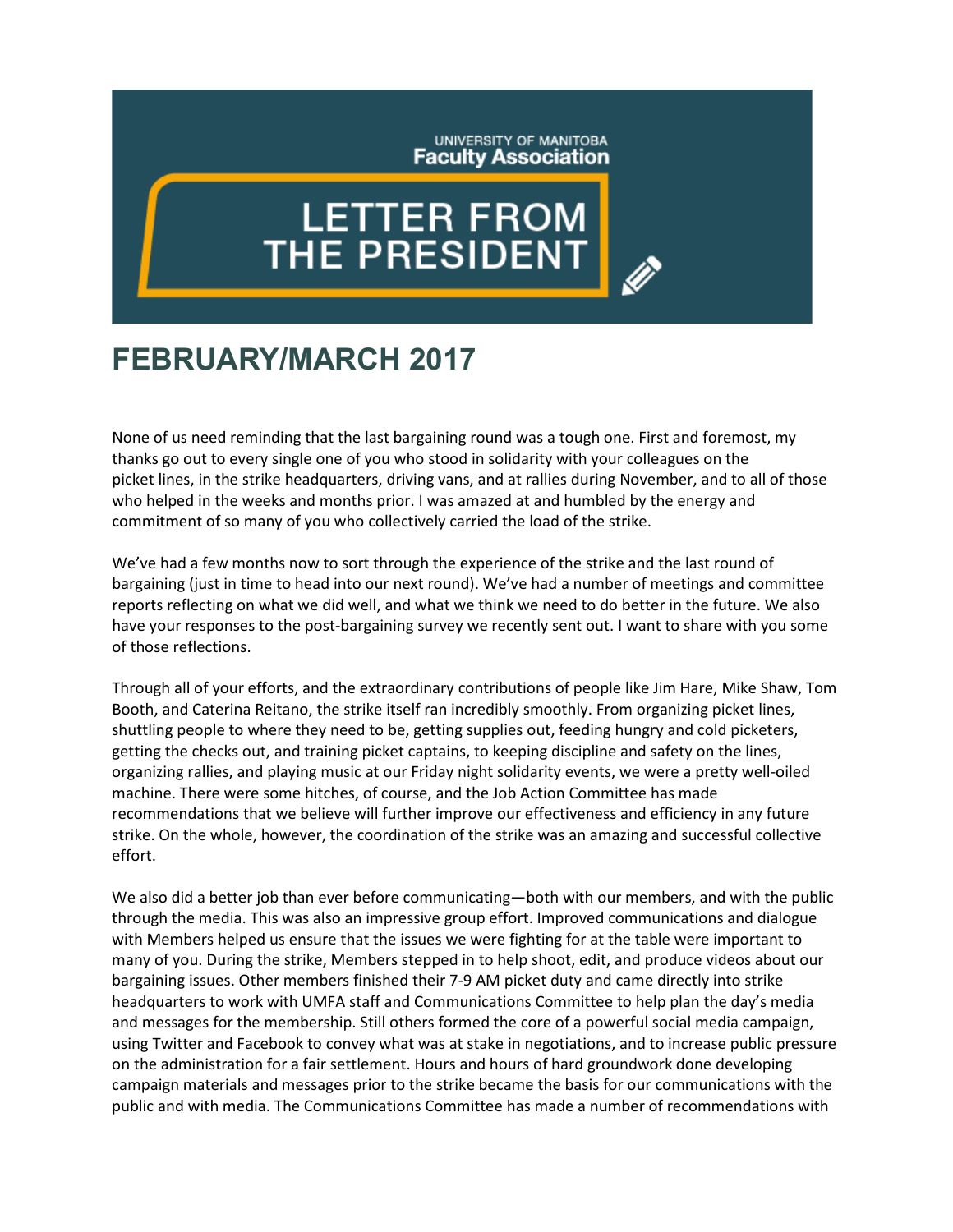## UNIVERSITY OF MANITOBA **Faculty Association**

## **LETTER FROM** THE PRESIDENT

## **FEBRUARY/MARCH 2017**

None of us need reminding that the last bargaining round was a tough one. First and foremost, my thanks go out to every single one of you who stood in solidarity with your colleagues on the picket lines, in the strike headquarters, driving vans, and at rallies during November, and to all of those who helped in the weeks and months prior. I was amazed at and humbled by the energy and commitment of so many of you who collectively carried the load of the strike.

We've had a few months now to sort through the experience of the strike and the last round of bargaining (just in time to head into our next round). We've had a number of meetings and committee reports reflecting on what we did well, and what we think we need to do better in the future. We also have your responses to the post-bargaining survey we recently sent out. I want to share with you some of those reflections.

Through all of your efforts, and the extraordinary contributions of people like Jim Hare, Mike Shaw, Tom Booth, and Caterina Reitano, the strike itself ran incredibly smoothly. From organizing picket lines, shuttling people to where they need to be, getting supplies out, feeding hungry and cold picketers, getting the checks out, and training picket captains, to keeping discipline and safety on the lines, organizing rallies, and playing music at our Friday night solidarity events, we were a pretty well-oiled machine. There were some hitches, of course, and the Job Action Committee has made recommendations that we believe will further improve our effectiveness and efficiency in any future strike. On the whole, however, the coordination of the strike was an amazing and successful collective effort.

We also did a better job than ever before communicating—both with our members, and with the public through the media. This was also an impressive group effort. Improved communications and dialogue with Members helped us ensure that the issues we were fighting for at the table were important to many of you. During the strike, Members stepped in to help shoot, edit, and produce videos about our bargaining issues. Other members finished their 7-9 AM picket duty and came directly into strike headquarters to work with UMFA staff and Communications Committee to help plan the day's media and messages for the membership. Still others formed the core of a powerful social media campaign, using Twitter and Facebook to convey what was at stake in negotiations, and to increase public pressure on the administration for a fair settlement. Hours and hours of hard groundwork done developing campaign materials and messages prior to the strike became the basis for our communications with the public and with media. The Communications Committee has made a number of recommendations with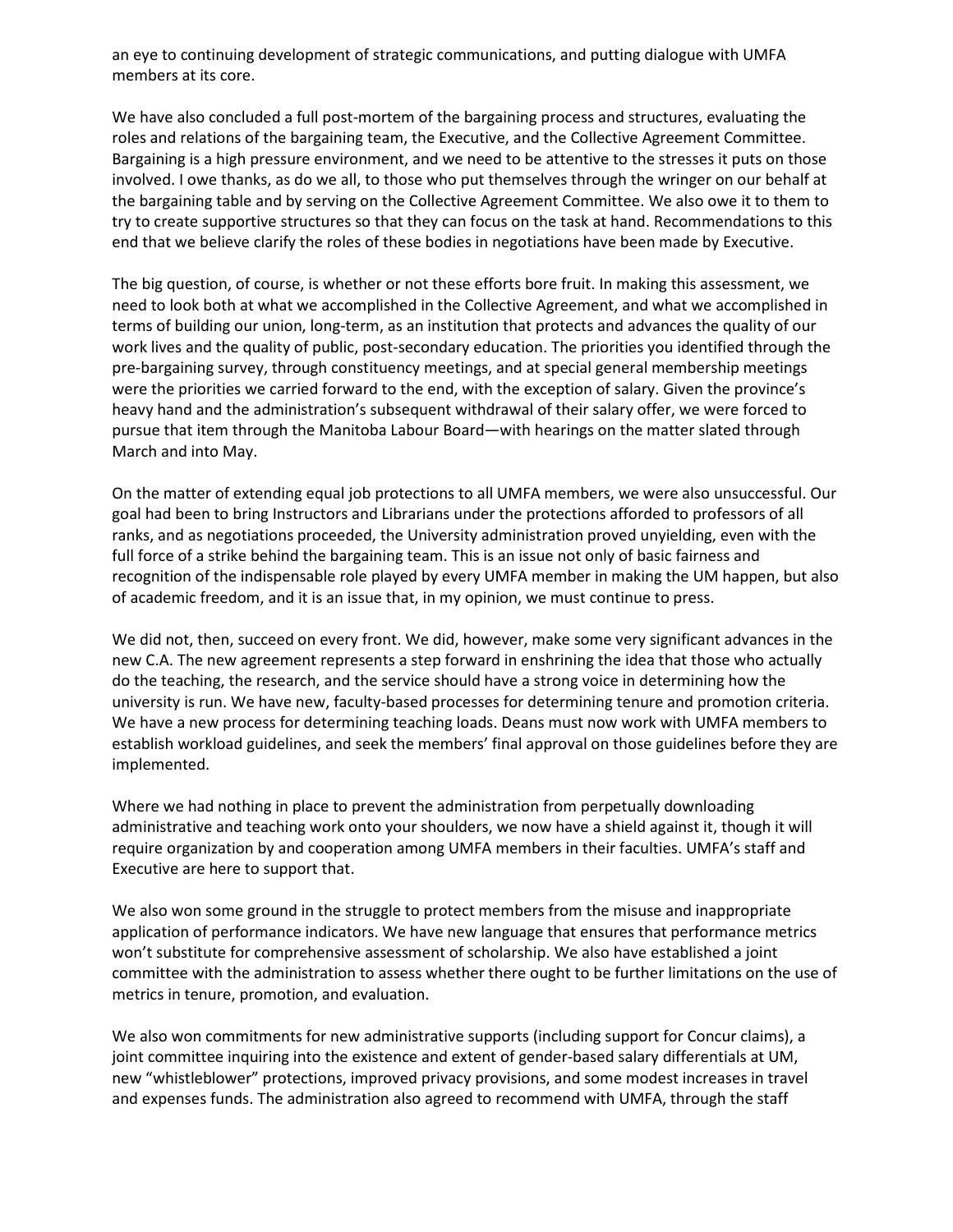an eye to continuing development of strategic communications, and putting dialogue with UMFA members at its core.

We have also concluded a full post-mortem of the bargaining process and structures, evaluating the roles and relations of the bargaining team, the Executive, and the Collective Agreement Committee. Bargaining is a high pressure environment, and we need to be attentive to the stresses it puts on those involved. I owe thanks, as do we all, to those who put themselves through the wringer on our behalf at the bargaining table and by serving on the Collective Agreement Committee. We also owe it to them to try to create supportive structures so that they can focus on the task at hand. Recommendations to this end that we believe clarify the roles of these bodies in negotiations have been made by Executive.

The big question, of course, is whether or not these efforts bore fruit. In making this assessment, we need to look both at what we accomplished in the Collective Agreement, and what we accomplished in terms of building our union, long-term, as an institution that protects and advances the quality of our work lives and the quality of public, post-secondary education. The priorities you identified through the pre-bargaining survey, through constituency meetings, and at special general membership meetings were the priorities we carried forward to the end, with the exception of salary. Given the province's heavy hand and the administration's subsequent withdrawal of their salary offer, we were forced to pursue that item through the Manitoba Labour Board—with hearings on the matter slated through March and into May.

On the matter of extending equal job protections to all UMFA members, we were also unsuccessful. Our goal had been to bring Instructors and Librarians under the protections afforded to professors of all ranks, and as negotiations proceeded, the University administration proved unyielding, even with the full force of a strike behind the bargaining team. This is an issue not only of basic fairness and recognition of the indispensable role played by every UMFA member in making the UM happen, but also of academic freedom, and it is an issue that, in my opinion, we must continue to press.

We did not, then, succeed on every front. We did, however, make some very significant advances in the new C.A. The new agreement represents a step forward in enshrining the idea that those who actually do the teaching, the research, and the service should have a strong voice in determining how the university is run. We have new, faculty-based processes for determining tenure and promotion criteria. We have a new process for determining teaching loads. Deans must now work with UMFA members to establish workload guidelines, and seek the members' final approval on those guidelines before they are implemented.

Where we had nothing in place to prevent the administration from perpetually downloading administrative and teaching work onto your shoulders, we now have a shield against it, though it will require organization by and cooperation among UMFA members in their faculties. UMFA's staff and Executive are here to support that.

We also won some ground in the struggle to protect members from the misuse and inappropriate application of performance indicators. We have new language that ensures that performance metrics won't substitute for comprehensive assessment of scholarship. We also have established a joint committee with the administration to assess whether there ought to be further limitations on the use of metrics in tenure, promotion, and evaluation.

We also won commitments for new administrative supports (including support for Concur claims), a joint committee inquiring into the existence and extent of gender-based salary differentials at UM, new "whistleblower" protections, improved privacy provisions, and some modest increases in travel and expenses funds. The administration also agreed to recommend with UMFA, through the staff